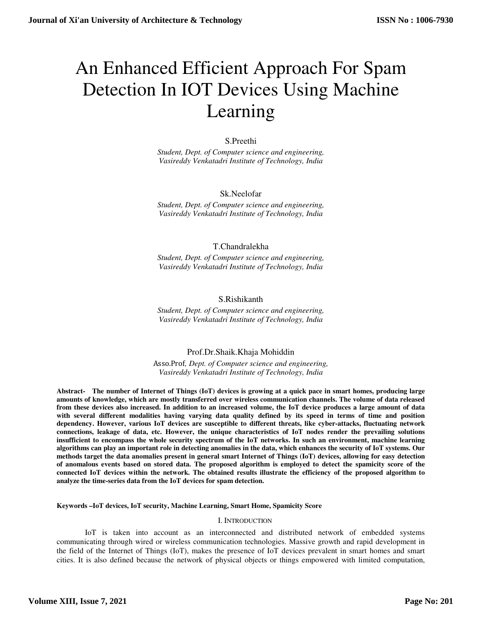# An Enhanced Efficient Approach For Spam Detection In IOT Devices Using Machine Learning

# S.Preethi

*Student, Dept. of Computer science and engineering, Vasireddy Venkatadri Institute of Technology, India*

# Sk.Neelofar

*Student, Dept. of Computer science and engineering, Vasireddy Venkatadri Institute of Technology, India*

# T.Chandralekha

*Student, Dept. of Computer science and engineering, Vasireddy Venkatadri Institute of Technology, India*

# S.Rishikanth

*Student, Dept. of Computer science and engineering, Vasireddy Venkatadri Institute of Technology, India*

# Prof.Dr.Shaik.Khaja Mohiddin

Asso.Prof*, Dept. of Computer science and engineering, Vasireddy Venkatadri Institute of Technology, India*

**Abstract- The number of Internet of Things (IoT) devices is growing at a quick pace in smart homes, producing large amounts of knowledge, which are mostly transferred over wireless communication channels. The volume of data released from these devices also increased. In addition to an increased volume, the IoT device produces a large amount of data with several different modalities having varying data quality defined by its speed in terms of time and position dependency. However, various IoT devices are susceptible to different threats, like cyber-attacks, fluctuating network connections, leakage of data, etc. However, the unique characteristics of IoT nodes render the prevailing solutions insufficient to encompass the whole security spectrum of the IoT networks. In such an environment, machine learning algorithms can play an important role in detecting anomalies in the data, which enhances the security of IoT systems. Our methods target the data anomalies present in general smart Internet of Things (IoT) devices, allowing for easy detection of anomalous events based on stored data. The proposed algorithm is employed to detect the spamicity score of the connected IoT devices within the network. The obtained results illustrate the efficiency of the proposed algorithm to analyze the time-series data from the IoT devices for spam detection.** 

**Keywords –IoT devices, IoT security, Machine Learning, Smart Home, Spamicity Score** 

# I. INTRODUCTION

IoT is taken into account as an interconnected and distributed network of embedded systems communicating through wired or wireless communication technologies. Massive growth and rapid development in the field of the Internet of Things (IoT), makes the presence of IoT devices prevalent in smart homes and smart cities. It is also defined because the network of physical objects or things empowered with limited computation,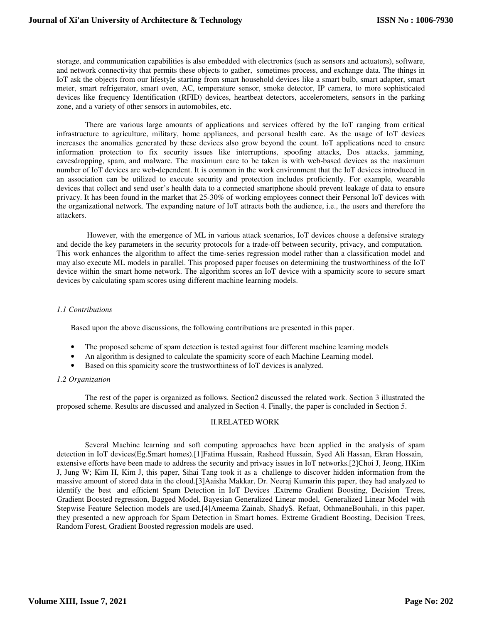storage, and communication capabilities is also embedded with electronics (such as sensors and actuators), software, and network connectivity that permits these objects to gather, sometimes process, and exchange data. The things in IoT ask the objects from our lifestyle starting from smart household devices like a smart bulb, smart adapter, smart meter, smart refrigerator, smart oven, AC, temperature sensor, smoke detector, IP camera, to more sophisticated devices like frequency Identification (RFID) devices, heartbeat detectors, accelerometers, sensors in the parking zone, and a variety of other sensors in automobiles, etc.

 There are various large amounts of applications and services offered by the IoT ranging from critical infrastructure to agriculture, military, home appliances, and personal health care. As the usage of IoT devices increases the anomalies generated by these devices also grow beyond the count. IoT applications need to ensure information protection to fix security issues like interruptions, spoofing attacks, Dos attacks, jamming, eavesdropping, spam, and malware. The maximum care to be taken is with web-based devices as the maximum number of IoT devices are web-dependent. It is common in the work environment that the IoT devices introduced in an association can be utilized to execute security and protection includes proficiently. For example, wearable devices that collect and send user's health data to a connected smartphone should prevent leakage of data to ensure privacy. It has been found in the market that 25-30% of working employees connect their Personal IoT devices with the organizational network. The expanding nature of IoT attracts both the audience, i.e., the users and therefore the attackers.

 However, with the emergence of ML in various attack scenarios, IoT devices choose a defensive strategy and decide the key parameters in the security protocols for a trade-off between security, privacy, and computation. This work enhances the algorithm to affect the time-series regression model rather than a classification model and may also execute ML models in parallel. This proposed paper focuses on determining the trustworthiness of the IoT device within the smart home network. The algorithm scores an IoT device with a spamicity score to secure smart devices by calculating spam scores using different machine learning models.

# *1.1 Contributions*

Based upon the above discussions, the following contributions are presented in this paper.

- The proposed scheme of spam detection is tested against four different machine learning models
- An algorithm is designed to calculate the spamicity score of each Machine Learning model.
- Based on this spamicity score the trustworthiness of IoT devices is analyzed.

# *1.2 Organization*

The rest of the paper is organized as follows. Section2 discussed the related work. Section 3 illustrated the proposed scheme. Results are discussed and analyzed in Section 4. Finally, the paper is concluded in Section 5.

# II.RELATED WORK

Several Machine learning and soft computing approaches have been applied in the analysis of spam detection in IoT devices(Eg.Smart homes).[1]Fatima Hussain, Rasheed Hussain, Syed Ali Hassan, Ekran Hossain, extensive efforts have been made to address the security and privacy issues in IoT networks.[2]Choi J, Jeong, HKim J, Jung W; Kim H, Kim J, this paper, Sihai Tang took it as a challenge to discover hidden information from the massive amount of stored data in the cloud.[3]Aaisha Makkar, Dr. Neeraj Kumarin this paper, they had analyzed to identify the best and efficient Spam Detection in IoT Devices .Extreme Gradient Boosting, Decision Trees, Gradient Boosted regression, Bagged Model, Bayesian Generalized Linear model, Generalized Linear Model with Stepwise Feature Selection models are used.[4]Ameema Zainab, ShadyS. Refaat, OthmaneBouhali, in this paper, they presented a new approach for Spam Detection in Smart homes. Extreme Gradient Boosting, Decision Trees, Random Forest, Gradient Boosted regression models are used.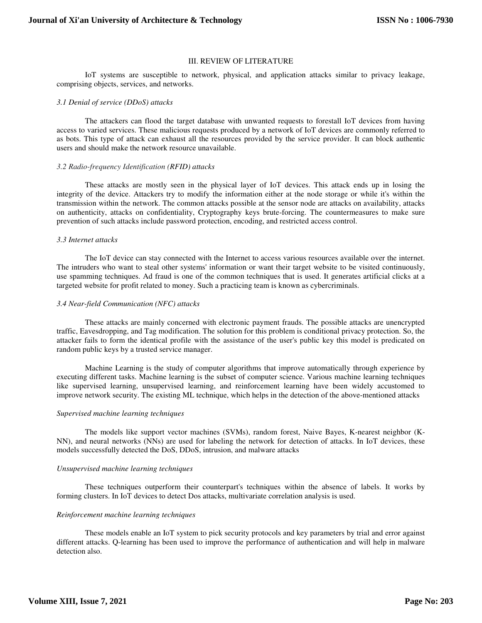#### III. REVIEW OF LITERATURE

IoT systems are susceptible to network, physical, and application attacks similar to privacy leakage, comprising objects, services, and networks.

#### *3.1 Denial of service (DDoS) attacks*

The attackers can flood the target database with unwanted requests to forestall IoT devices from having access to varied services. These malicious requests produced by a network of IoT devices are commonly referred to as bots. This type of attack can exhaust all the resources provided by the service provider. It can block authentic users and should make the network resource unavailable.

#### *3.2 Radio-frequency Identification (RFID) attacks*

These attacks are mostly seen in the physical layer of IoT devices. This attack ends up in losing the integrity of the device. Attackers try to modify the information either at the node storage or while it's within the transmission within the network. The common attacks possible at the sensor node are attacks on availability, attacks on authenticity, attacks on confidentiality, Cryptography keys brute-forcing. The countermeasures to make sure prevention of such attacks include password protection, encoding, and restricted access control.

#### *3.3 Internet attacks*

The IoT device can stay connected with the Internet to access various resources available over the internet. The intruders who want to steal other systems' information or want their target website to be visited continuously, use spamming techniques. Ad fraud is one of the common techniques that is used. It generates artificial clicks at a targeted website for profit related to money. Such a practicing team is known as cybercriminals.

# *3.4 Near-field Communication (NFC) attacks*

These attacks are mainly concerned with electronic payment frauds. The possible attacks are unencrypted traffic, Eavesdropping, and Tag modification. The solution for this problem is conditional privacy protection. So, the attacker fails to form the identical profile with the assistance of the user's public key this model is predicated on random public keys by a trusted service manager.

Machine Learning is the study of computer algorithms that improve automatically through experience by executing different tasks. Machine learning is the subset of computer science. Various machine learning techniques like supervised learning, unsupervised learning, and reinforcement learning have been widely accustomed to improve network security. The existing ML technique, which helps in the detection of the above-mentioned attacks

# *Supervised machine learning techniques*

The models like support vector machines (SVMs), random forest, Naive Bayes, K-nearest neighbor (K-NN), and neural networks (NNs) are used for labeling the network for detection of attacks. In IoT devices, these models successfully detected the DoS, DDoS, intrusion, and malware attacks

#### *Unsupervised machine learning techniques*

These techniques outperform their counterpart's techniques within the absence of labels. It works by forming clusters. In IoT devices to detect Dos attacks, multivariate correlation analysis is used.

#### *Reinforcement machine learning techniques*

These models enable an IoT system to pick security protocols and key parameters by trial and error against different attacks. Q-learning has been used to improve the performance of authentication and will help in malware detection also.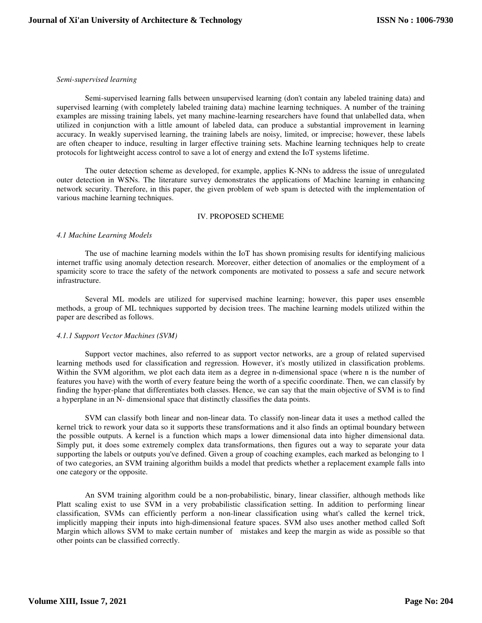#### *Semi-supervised learning*

Semi-supervised learning falls between unsupervised learning (don't contain any labeled training data) and supervised learning (with completely labeled training data) machine learning techniques. A number of the training examples are missing training labels, yet many machine-learning researchers have found that unlabelled data, when utilized in conjunction with a little amount of labeled data, can produce a substantial improvement in learning accuracy. In weakly supervised learning, the training labels are noisy, limited, or imprecise; however, these labels are often cheaper to induce, resulting in larger effective training sets. Machine learning techniques help to create protocols for lightweight access control to save a lot of energy and extend the IoT systems lifetime.

The outer detection scheme as developed, for example, applies K-NNs to address the issue of unregulated outer detection in WSNs. The literature survey demonstrates the applications of Machine learning in enhancing network security. Therefore, in this paper, the given problem of web spam is detected with the implementation of various machine learning techniques.

# IV. PROPOSED SCHEME

#### *4.1 Machine Learning Models*

The use of machine learning models within the IoT has shown promising results for identifying malicious internet traffic using anomaly detection research. Moreover, either detection of anomalies or the employment of a spamicity score to trace the safety of the network components are motivated to possess a safe and secure network infrastructure.

Several ML models are utilized for supervised machine learning; however, this paper uses ensemble methods, a group of ML techniques supported by decision trees. The machine learning models utilized within the paper are described as follows.

# *4.1.1 Support Vector Machines (SVM)*

Support vector machines, also referred to as support vector networks, are a group of related supervised learning methods used for classification and regression. However, it's mostly utilized in classification problems. Within the SVM algorithm, we plot each data item as a degree in n-dimensional space (where n is the number of features you have) with the worth of every feature being the worth of a specific coordinate. Then, we can classify by finding the hyper-plane that differentiates both classes. Hence, we can say that the main objective of SVM is to find a hyperplane in an N- dimensional space that distinctly classifies the data points.

SVM can classify both linear and non-linear data. To classify non-linear data it uses a method called the kernel trick to rework your data so it supports these transformations and it also finds an optimal boundary between the possible outputs. A kernel is a function which maps a lower dimensional data into higher dimensional data. Simply put, it does some extremely complex data transformations, then figures out a way to separate your data supporting the labels or outputs you've defined. Given a group of coaching examples, each marked as belonging to 1 of two categories, an SVM training algorithm builds a model that predicts whether a replacement example falls into one category or the opposite.

An SVM training algorithm could be a non-probabilistic, binary, linear classifier, although methods like Platt scaling exist to use SVM in a very probabilistic classification setting. In addition to performing linear classification, SVMs can efficiently perform a non-linear classification using what's called the kernel trick, implicitly mapping their inputs into high-dimensional feature spaces. SVM also uses another method called Soft Margin which allows SVM to make certain number of mistakes and keep the margin as wide as possible so that other points can be classified correctly.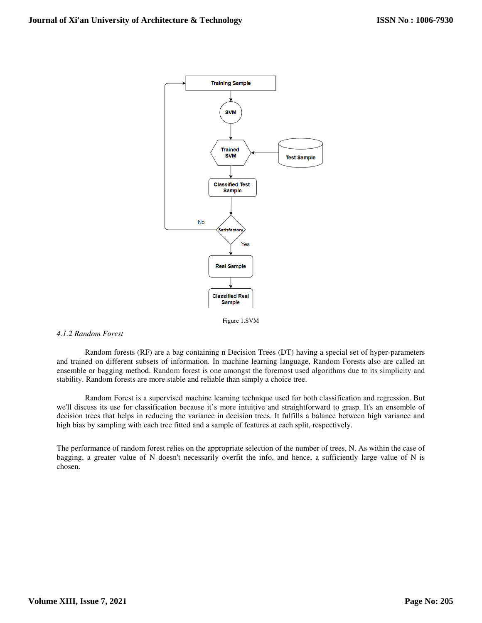

Figure 1.SVM

# *4.1.2 Random Forest*

Random forests (RF) are a bag containing n Decision Trees (DT) having a special set of hyper-parameters and trained on different subsets of information. In machine learning language, Random Forests also are called an ensemble or bagging method. Random forest is one amongst the foremost used algorithms due to its simplicity and stability. Random forests are more stable and reliable than simply a choice tree.

Random Forest is a supervised machine learning technique used for both classification and regression. But we'll discuss its use for classification because it's more intuitive and straightforward to grasp. It's an ensemble of decision trees that helps in reducing the variance in decision trees. It fulfills a balance between high variance and high bias by sampling with each tree fitted and a sample of features at each split, respectively.

The performance of random forest relies on the appropriate selection of the number of trees, N. As within the case of bagging, a greater value of N doesn't necessarily overfit the info, and hence, a sufficiently large value of N is chosen.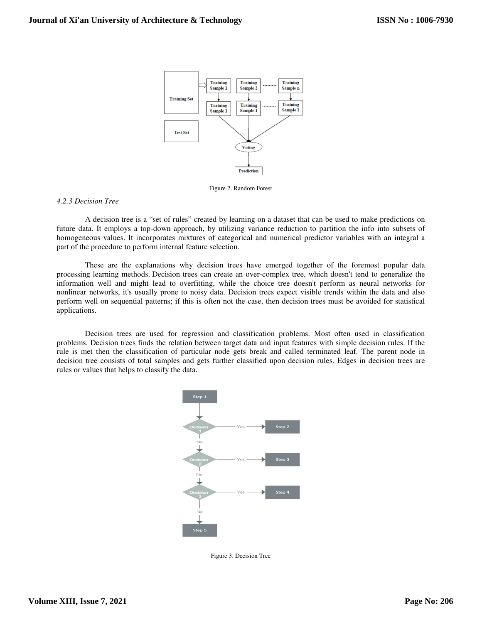

Figure 2. Random Forest

# *4.2.3 Decision Tree*

A decision tree is a "set of rules" created by learning on a dataset that can be used to make predictions on future data. It employs a top-down approach, by utilizing variance reduction to partition the info into subsets of homogeneous values. It incorporates mixtures of categorical and numerical predictor variables with an integral a part of the procedure to perform internal feature selection.

These are the explanations why decision trees have emerged together of the foremost popular data processing learning methods. Decision trees can create an over-complex tree, which doesn't tend to generalize the information well and might lead to overfitting, while the choice tree doesn't perform as neural networks for nonlinear networks, it's usually prone to noisy data. Decision trees expect visible trends within the data and also perform well on sequential patterns; if this is often not the case, then decision trees must be avoided for statistical applications.

Decision trees are used for regression and classification problems. Most often used in classification problems. Decision trees finds the relation between target data and input features with simple decision rules. If the rule is met then the classification of particular node gets break and called terminated leaf. The parent node in decision tree consists of total samples and gets further classified upon decision rules. Edges in decision trees are rules or values that helps to classify the data.



Figure 3. Decision Tree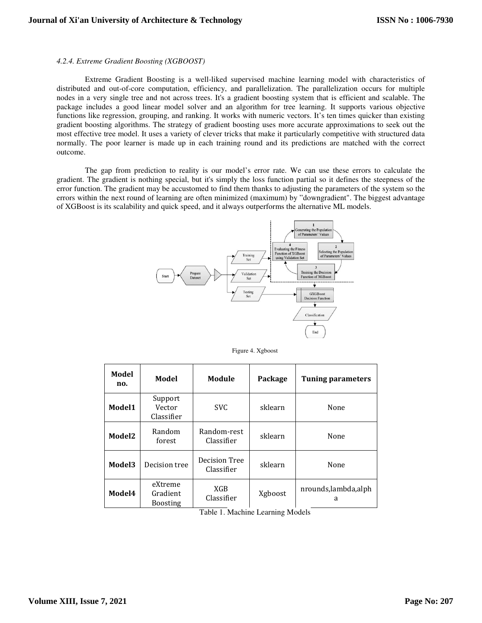# *4.2.4. Extreme Gradient Boosting (XGBOOST)*

Extreme Gradient Boosting is a well-liked supervised machine learning model with characteristics of distributed and out-of-core computation, efficiency, and parallelization. The parallelization occurs for multiple nodes in a very single tree and not across trees. It's a gradient boosting system that is efficient and scalable. The package includes a good linear model solver and an algorithm for tree learning. It supports various objective functions like regression, grouping, and ranking. It works with numeric vectors. It's ten times quicker than existing gradient boosting algorithms. The strategy of gradient boosting uses more accurate approximations to seek out the most effective tree model. It uses a variety of clever tricks that make it particularly competitive with structured data normally. The poor learner is made up in each training round and its predictions are matched with the correct outcome.

The gap from prediction to reality is our model's error rate. We can use these errors to calculate the gradient. The gradient is nothing special, but it's simply the loss function partial so it defines the steepness of the error function. The gradient may be accustomed to find them thanks to adjusting the parameters of the system so the errors within the next round of learning are often minimized (maximum) by "downgradient". The biggest advantage of XGBoost is its scalability and quick speed, and it always outperforms the alternative ML models.



Figure 4. Xgboost

| Model<br>no. | Model                                  | Module                      | Package | <b>Tuning parameters</b> |  |
|--------------|----------------------------------------|-----------------------------|---------|--------------------------|--|
| Model1       | Support<br>Vector<br>Classifier        | <b>SVC</b>                  | sklearn | None                     |  |
| Model2       | Random<br>forest                       | Random-rest<br>Classifier   | sklearn | None                     |  |
| Model3       | Decision tree                          | Decision Tree<br>Classifier | sklearn | None                     |  |
| Model4       | eXtreme<br>Gradient<br><b>Boosting</b> | XGB<br>Classifier           | Xgboost | nrounds,lambda,alph<br>a |  |

Table 1. Machine Learning Models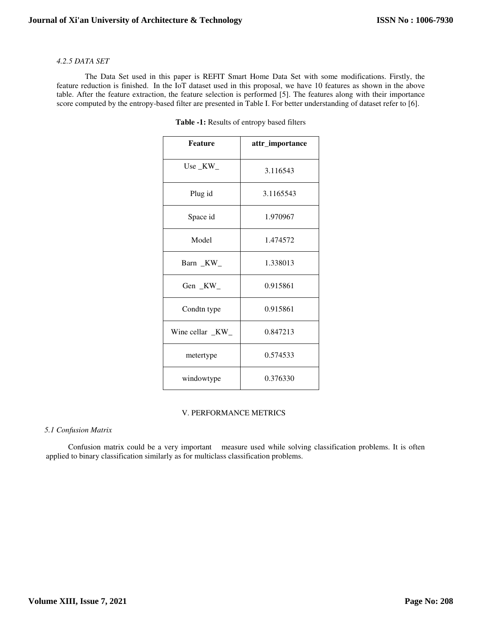# *4.2.5 DATA SET*

The Data Set used in this paper is REFIT Smart Home Data Set with some modifications. Firstly, the feature reduction is finished. In the IoT dataset used in this proposal, we have 10 features as shown in the above table. After the feature extraction, the feature selection is performed [5]. The features along with their importance score computed by the entropy-based filter are presented in Table I. For better understanding of dataset refer to [6].

| <b>Feature</b>    | attr_importance |  |
|-------------------|-----------------|--|
| Use $_K$ W_       | 3.116543        |  |
| Plug id           | 3.1165543       |  |
| Space id          | 1.970967        |  |
| Model             | 1.474572        |  |
| Barn KW           | 1.338013        |  |
| Gen KW            | 0.915861        |  |
| Condtn type       | 0.915861        |  |
| Wine cellar $_KW$ | 0.847213        |  |
| metertype         | 0.574533        |  |
| windowtype        | 0.376330        |  |

**Table -1:** Results of entropy based filters

# V. PERFORMANCE METRICS

# *5.1 Confusion Matrix*

 Confusion matrix could be a very important measure used while solving classification problems. It is often applied to binary classification similarly as for multiclass classification problems.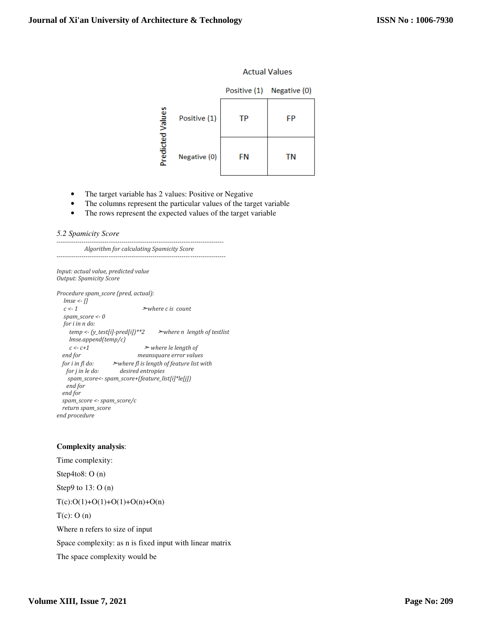# **Actual Values**

|           |              | Positive (1) | Negative (0) |
|-----------|--------------|--------------|--------------|
| Values    | Positive (1) | ТP           | FP           |
| Predicted | Negative (0) | FN           | ΤN           |

- The target variable has 2 values: Positive or Negative
- The columns represent the particular values of the target variable
- The rows represent the expected values of the target variable

# *5.2 Spamicity Score*

-------------------------------------------------------------------------------- *Algorithm for calculating Spamicity Score* 

---------------------------------------------------------------------------------

*Input: actual value, predicted value Output: Spamicity Score*

*Procedure spam\_score (pred, actual): lmse <- [] c <- 1* ➣*where c is count spam\_score <- 0 for i in n do: temp <- (y\_test[i]-pred[i])\*\*2* ➣*where n length of testlist lmse.append(temp/c) c <- c+1* ➣ *where le length of end for meansquare error values for i in fl do:* ➣*where fl is length of feature list with for j in le do: desired entropies spam\_score<- spam\_score+(feature\_list[i]\*le[j]) end for end for spam\_score <- spam\_score/c return spam\_score end procedure* 

# **Complexity analysis**:

Time complexity: Step4to8: O (n) Step9 to 13: O (n)  $T(c):O(1)+O(1)+O(1)+O(n)+O(n)$  $T(c)$ : O (n) Where n refers to size of input Space complexity: as n is fixed input with linear matrix The space complexity would be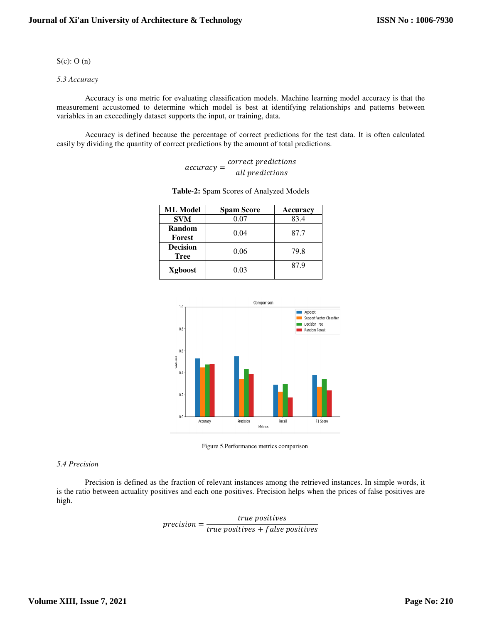# $S(c)$ : O (n)

# *5.3 Accuracy*

Accuracy is one metric for evaluating classification models. Machine learning model accuracy is that the measurement accustomed to determine which model is best at identifying relationships and patterns between variables in an exceedingly dataset supports the input, or training, data.

Accuracy is defined because the percentage of correct predictions for the test data. It is often calculated easily by dividing the quantity of correct predictions by the amount of total predictions.

|              | correct predictions |
|--------------|---------------------|
| $accuracy =$ | all predictions     |

| <b>ML</b> Model                | <b>Spam Score</b> | Accuracy |  |
|--------------------------------|-------------------|----------|--|
| <b>SVM</b>                     | 0.07              | 83.4     |  |
| Random<br>Forest               | 0.04              | 87.7     |  |
| <b>Decision</b><br><b>Tree</b> | 0.06              | 79.8     |  |
| Xgboost                        | 0.03              | 87.9     |  |

| Table-2: Spam Scores of Analyzed Models |  |  |  |
|-----------------------------------------|--|--|--|
|-----------------------------------------|--|--|--|



Figure 5.Performance metrics comparison

# *5.4 Precision*

Precision is defined as the fraction of relevant instances among the retrieved instances. In simple words, it is the ratio between actuality positives and each one positives. Precision helps when the prices of false positives are high.

> $precision = \frac{1}{true \ positives + false \ positives}$ true positives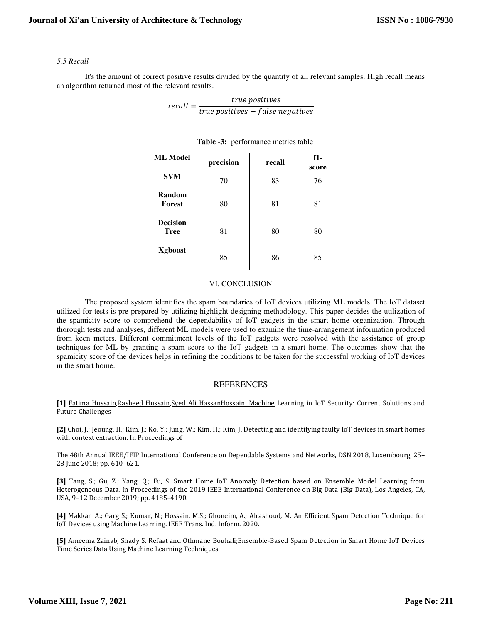# *5.5 Recall*

It's the amount of correct positive results divided by the quantity of all relevant samples. High recall means an algorithm returned most of the relevant results.

$$
recall = \frac{true \; positives}{true \; positives + false \; negatives}
$$

| <b>ML</b> Model                | precision | recall | $f1-$<br>score |
|--------------------------------|-----------|--------|----------------|
| <b>SVM</b>                     | 70        | 83     | 76             |
| Random<br>Forest               | 80        | 81     | 81             |
| <b>Decision</b><br><b>Tree</b> | 81        | 80     | 80             |
| <b>X</b> gboost                | 85        | 86     | 85             |

# **Table -3:** performance metrics table

# VI. CONCLUSION

The proposed system identifies the spam boundaries of IoT devices utilizing ML models. The IoT dataset utilized for tests is pre-prepared by utilizing highlight designing methodology. This paper decides the utilization of the spamicity score to comprehend the dependability of IoT gadgets in the smart home organization. Through thorough tests and analyses, different ML models were used to examine the time-arrangement information produced from keen meters. Different commitment levels of the IoT gadgets were resolved with the assistance of group techniques for ML by granting a spam score to the IoT gadgets in a smart home. The outcomes show that the spamicity score of the devices helps in refining the conditions to be taken for the successful working of IoT devices in the smart home.

# REFERENCES

**[1]** Fatima Hussain,Rasheed Hussain,Syed Ali HassanHossain. Machine Learning in IoT Security: Current Solutions and Future Challenges

**[2]** Choi, J.; Jeoung, H.; Kim, J.; Ko, Y.; Jung, W.; Kim, H.; Kim, J. Detecting and identifying faulty IoT devices in smart homes with context extraction. In Proceedings of

The 48th Annual IEEE/IFIP International Conference on Dependable Systems and Networks, DSN 2018, Luxembourg, 25– 28 June 2018; pp. 610–621.

**[3]** Tang, S.; Gu, Z.; Yang, Q.; Fu, S. Smart Home IoT Anomaly Detection based on Ensemble Model Learning from Heterogeneous Data. In Proceedings of the 2019 IEEE International Conference on Big Data (Big Data), Los Angeles, CA, USA, 9–12 December 2019; pp. 4185–4190.

**[4]** Makkar A.; Garg S.; Kumar, N.; Hossain, M.S.; Ghoneim, A.; Alrashoud, M. An Efficient Spam Detection Technique for IoT Devices using Machine Learning. IEEE Trans. Ind. Inform. 2020.

**[5]** Ameema Zainab, Shady S. Refaat and Othmane Bouhali;Ensemble-Based Spam Detection in Smart Home IoT Devices Time Series Data Using Machine Learning Techniques